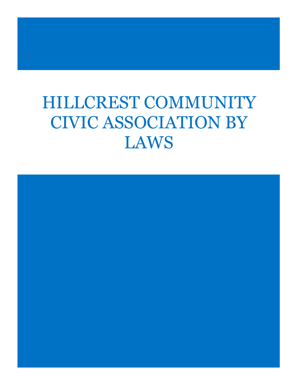# HILLCREST COMMUNITY CIVIC ASSOCIATION BY LAWS

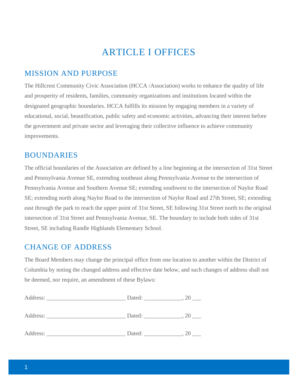# ARTICLE I OFFICES

### MISSION AND PURPOSE

The Hillcrest Community Civic Association (HCCA /Association) works to enhance the quality of life and prosperity of residents, families, community organizations and institutions located within the designated geographic boundaries. HCCA fulfills its mission by engaging members in a variety of educational, social, beautification, public safety and economic activities, advancing their interest before the government and private sector and leveraging their collective influence to achieve community improvements.

### BOUNDARIES

The official boundaries of the Association are defined by a line beginning at the intersection of 31st Street and Pennsylvania Avenue SE, extending southeast along Pennsylvania Avenue to the intersection of Pennsylvania Avenue and Southern Avenue SE; extending southwest to the intersection of Naylor Road SE; extending north along Naylor Road to the intersection of Naylor Road and 27th Street, SE; extending east through the park to reach the upper point of 31st Street, SE following 31st Street north to the original intersection of 31st Street and Pennsylvania Avenue, SE. The boundary to include both sides of 31st Street, SE including Randle Highlands Elementary School.

### CHANGE OF ADDRESS

The Board Members may change the principal office from one location to another within the District of Columbia by noting the changed address and effective date below, and such changes of address shall not be deemed, nor require, an amendment of these Bylaws:

| Address:<br>the control of the control of the control of the control of the control of | Dated: |    |
|----------------------------------------------------------------------------------------|--------|----|
| Address:                                                                               | Dated: | 20 |
| Address:                                                                               | Dated: | ZO |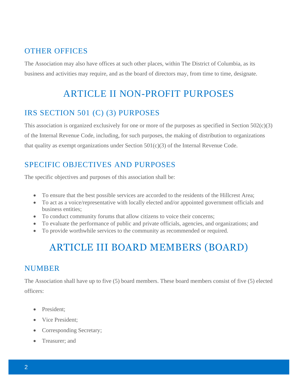# OTHER OFFICES

The Association may also have offices at such other places, within The District of Columbia, as its business and activities may require, and as the board of directors may, from time to time, designate.

# ARTICLE II NON-PROFIT PURPOSES

# IRS SECTION 501 (C) (3) PURPOSES

This association is organized exclusively for one or more of the purposes as specified in Section 502(c)(3) of the Internal Revenue Code, including, for such purposes, the making of distribution to organizations that quality as exempt organizations under Section  $501(c)(3)$  of the Internal Revenue Code.

# SPECIFIC OBJECTIVES AND PURPOSES

The specific objectives and purposes of this association shall be:

- To ensure that the best possible services are accorded to the residents of the Hillcrest Area;
- To act as a voice/representative with locally elected and/or appointed government officials and business entities;
- To conduct community forums that allow citizens to voice their concerns;
- To evaluate the performance of public and private officials, agencies, and organizations; and
- To provide worthwhile services to the community as recommended or required.

# ARTICLE III BOARD MEMBERS (BOARD)

### NUMBER

The Association shall have up to five (5) board members. These board members consist of five (5) elected officers:

- President;
- Vice President:
- Corresponding Secretary;
- Treasurer; and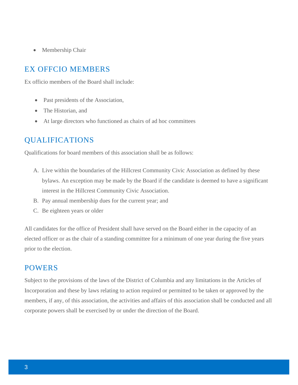• Membership Chair

### EX OFFCIO MEMBERS

Ex officio members of the Board shall include:

- Past presidents of the Association,
- The Historian, and
- At large directors who functioned as chairs of ad hoc committees

## QUALIFICATIONS

Qualifications for board members of this association shall be as follows:

- A. Live within the boundaries of the Hillcrest Community Civic Association as defined by these bylaws. An exception may be made by the Board if the candidate is deemed to have a significant interest in the Hillcrest Community Civic Association.
- B. Pay annual membership dues for the current year; and
- C. Be eighteen years or older

All candidates for the office of President shall have served on the Board either in the capacity of an elected officer or as the chair of a standing committee for a minimum of one year during the five years prior to the election.

### POWERS

Subject to the provisions of the laws of the District of Columbia and any limitations in the Articles of Incorporation and these by laws relating to action required or permitted to be taken or approved by the members, if any, of this association, the activities and affairs of this association shall be conducted and all corporate powers shall be exercised by or under the direction of the Board.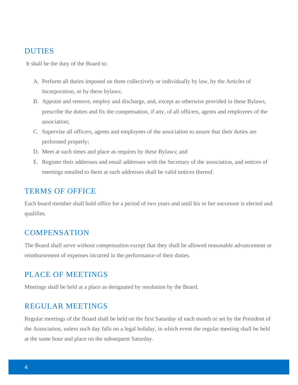#### DUTIES

It shall be the duty of the Board to:

- A. Perform all duties imposed on them collectively or individually by law, by the Articles of Incorporation, or by these bylaws;
- B. Appoint and remove, employ and discharge, and, except as otherwise provided in these Bylaws, prescribe the duties and fix the compensation, if any, of all officers, agents and employees of the association;
- C. Supervise all officers, agents and employees of the association to assure that their duties are performed properly;
- D. Meet at such times and place as requires by these Bylaws; and
- E. Register their addresses and email addresses with the Secretary of the association, and notices of meetings emailed to them at such addresses shall be valid notices thereof.

#### TERMS OF OFFICE

Each board member shall hold office for a period of two years and until his or her successor is elected and qualifies.

#### **COMPENSATION**

The Board shall serve without compensation except that they shall be allowed reasonable advancement or reimbursement of expenses incurred in the performance of their duties.

### PLACE OF MEETINGS

Meetings shall be held at a place as designated by resolution by the Board.

#### REGULAR MEETINGS

Regular meetings of the Board shall be held on the first Saturday of each month or set by the President of the Association, unless such day falls on a legal holiday, in which event the regular meeting shall be held at the same hour and place on the subsequent Saturday.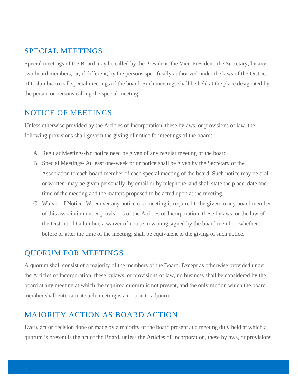### SPECIAL MEETINGS

Special meetings of the Board may be called by the President, the Vice-President, the Secretary, by any two board members, or, if different, by the persons specifically authorized under the laws of the District of Columbia to call special meetings of the board. Such meetings shall be held at the place designated by the person or persons calling the special meeting.

### NOTICE OF MEETINGS

Unless otherwise provided by the Articles of Incorporation, these bylaws, or provisions of law, the following provisions shall govern the giving of notice for meetings of the board:

- A. Regular Meetings-No notice need be given of any regular meeting of the board.
- B. Special Meetings- At least one-week prior notice shall be given by the Secretary of the Association to each board member of each special meeting of the board. Such notice may be oral or written, may be given personally, by email or by telephone, and shall state the place, date and time of the meeting and the matters proposed to be acted upon at the meeting.
- C. Waiver of Notice- Whenever any notice of a meeting is required to be given to any board member of this association under provisions of the Articles of Incorporation, these bylaws, or the law of the District of Columbia, a waiver of notice in writing signed by the board member, whether before or after the time of the meeting, shall be equivalent to the giving of such notice.

### QUORUM FOR MEETINGS

A quorum shall consist of a majority of the members of the Board. Except as otherwise provided under the Articles of Incorporation, these bylaws, or provisions of law, no business shall be considered by the board at any meeting at which the required quorum is not present, and the only motion which the board member shall entertain at such meeting is a motion to adjourn.

# MAJORITY ACTION AS BOARD ACTION

Every act or decision done or made by a majority of the board present at a meeting duly held at which a quorum is present is the act of the Board, unless the Articles of Incorporation, these bylaws, or provisions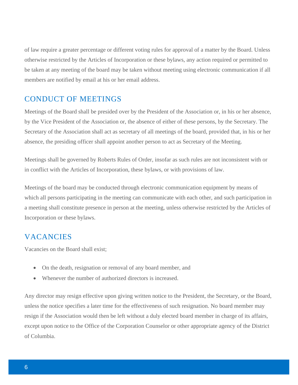of law require a greater percentage or different voting rules for approval of a matter by the Board. Unless otherwise restricted by the Articles of Incorporation or these bylaws, any action required or permitted to be taken at any meeting of the board may be taken without meeting using electronic communication if all members are notified by email at his or her email address.

### CONDUCT OF MEETINGS

Meetings of the Board shall be presided over by the President of the Association or, in his or her absence, by the Vice President of the Association or, the absence of either of these persons, by the Secretary. The Secretary of the Association shall act as secretary of all meetings of the board, provided that, in his or her absence, the presiding officer shall appoint another person to act as Secretary of the Meeting.

Meetings shall be governed by Roberts Rules of Order, insofar as such rules are not inconsistent with or in conflict with the Articles of Incorporation, these bylaws, or with provisions of law.

Meetings of the board may be conducted through electronic communication equipment by means of which all persons participating in the meeting can communicate with each other, and such participation in a meeting shall constitute presence in person at the meeting, unless otherwise restricted by the Articles of Incorporation or these bylaws.

### **VACANCIES**

Vacancies on the Board shall exist;

- On the death, resignation or removal of any board member, and
- Whenever the number of authorized directors is increased.

Any director may resign effective upon giving written notice to the President, the Secretary, or the Board, unless the notice specifies a later time for the effectiveness of such resignation. No board member may resign if the Association would then be left without a duly elected board member in charge of its affairs, except upon notice to the Office of the Corporation Counselor or other appropriate agency of the District of Columbia.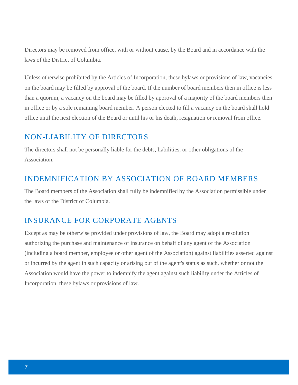Directors may be removed from office, with or without cause, by the Board and in accordance with the laws of the District of Columbia.

Unless otherwise prohibited by the Articles of Incorporation, these bylaws or provisions of law, vacancies on the board may be filled by approval of the board. If the number of board members then in office is less than a quorum, a vacancy on the board may be filled by approval of a majority of the board members then in office or by a sole remaining board member. A person elected to fill a vacancy on the board shall hold office until the next election of the Board or until his or his death, resignation or removal from office.

### NON-LIABILITY OF DIRECTORS

The directors shall not be personally liable for the debts, liabilities, or other obligations of the Association.

### INDEMNIFICATION BY ASSOCIATION OF BOARD MEMBERS

The Board members of the Association shall fully be indemnified by the Association permissible under the laws of the District of Columbia.

## INSURANCE FOR CORPORATE AGENTS

Except as may be otherwise provided under provisions of law, the Board may adopt a resolution authorizing the purchase and maintenance of insurance on behalf of any agent of the Association (including a board member, employee or other agent of the Association) against liabilities asserted against or incurred by the agent in such capacity or arising out of the agent's status as such, whether or not the Association would have the power to indemnify the agent against such liability under the Articles of Incorporation, these bylaws or provisions of law.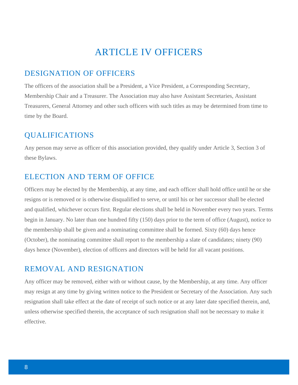# ARTICLE IV OFFICERS

### DESIGNATION OF OFFICERS

The officers of the association shall be a President, a Vice President, a Corresponding Secretary, Membership Chair and a Treasurer. The Association may also have Assistant Secretaries, Assistant Treasurers, General Attorney and other such officers with such titles as may be determined from time to time by the Board.

### QUALIFICATIONS

Any person may serve as officer of this association provided, they qualify under Article 3, Section 3 of these Bylaws.

### ELECTION AND TERM OF OFFICE

Officers may be elected by the Membership, at any time, and each officer shall hold office until he or she resigns or is removed or is otherwise disqualified to serve, or until his or her successor shall be elected and qualified, whichever occurs first. Regular elections shall be held in November every two years. Terms begin in January. No later than one hundred fifty (150) days prior to the term of office (August), notice to the membership shall be given and a nominating committee shall be formed. Sixty (60) days hence (October), the nominating committee shall report to the membership a slate of candidates; ninety (90) days hence (November), election of officers and directors will be held for all vacant positions.

### REMOVAL AND RESIGNATION

Any officer may be removed, either with or without cause, by the Membership, at any time. Any officer may resign at any time by giving written notice to the President or Secretary of the Association. Any such resignation shall take effect at the date of receipt of such notice or at any later date specified therein, and, unless otherwise specified therein, the acceptance of such resignation shall not be necessary to make it effective.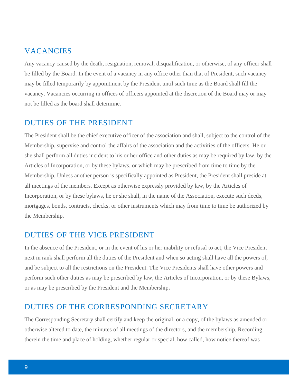### VACANCIES

Any vacancy caused by the death, resignation, removal, disqualification, or otherwise, of any officer shall be filled by the Board. In the event of a vacancy in any office other than that of President, such vacancy may be filled temporarily by appointment by the President until such time as the Board shall fill the vacancy. Vacancies occurring in offices of officers appointed at the discretion of the Board may or may not be filled as the board shall determine.

### DUTIES OF THE PRESIDENT

The President shall be the chief executive officer of the association and shall, subject to the control of the Membership, supervise and control the affairs of the association and the activities of the officers. He or she shall perform all duties incident to his or her office and other duties as may be required by law, by the Articles of Incorporation, or by these bylaws, or which may be prescribed from time to time by the Membership. Unless another person is specifically appointed as President, the President shall preside at all meetings of the members. Except as otherwise expressly provided by law, by the Articles of Incorporation, or by these bylaws, he or she shall, in the name of the Association, execute such deeds, mortgages, bonds, contracts, checks, or other instruments which may from time to time be authorized by the Membership.

### DUTIES OF THE VICE PRESIDENT

In the absence of the President, or in the event of his or her inability or refusal to act, the Vice President next in rank shall perform all the duties of the President and when so acting shall have all the powers of, and be subject to all the restrictions on the President. The Vice Presidents shall have other powers and perform such other duties as may be prescribed by law, the Articles of Incorporation, or by these Bylaws, or as may be prescribed by the President and the Membership**.**

### DUTIES OF THE CORRESPONDING SECRETARY

The Corresponding Secretary shall certify and keep the original, or a copy, of the bylaws as amended or otherwise altered to date, the minutes of all meetings of the directors, and the membership. Recording therein the time and place of holding, whether regular or special, how called, how notice thereof was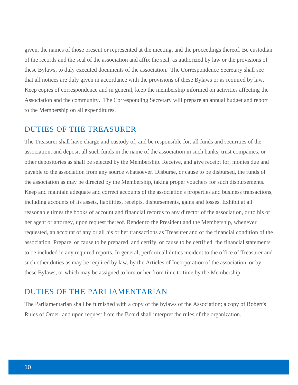given, the names of those present or represented at the meeting, and the proceedings thereof. Be custodian of the records and the seal of the association and affix the seal, as authorized by law or the provisions of these Bylaws, to duly executed documents of the association. The Correspondence Secretary shall see that all notices are duly given in accordance with the provisions of these Bylaws or as required by law. Keep copies of correspondence and in general, keep the membership informed on activities affecting the Association and the community. The Corresponding Secretary will prepare an annual budget and report to the Membership on all expenditures.

#### DUTIES OF THE TREASURER

The Treasurer shall have charge and custody of, and be responsible for, all funds and securities of the association, and deposit all such funds in the name of the association in such banks, trust companies, or other depositories as shall be selected by the Membership. Receive, and give receipt for, monies due and payable to the association from any source whatsoever. Disburse, or cause to be disbursed, the funds of the association as may be directed by the Membership, taking proper vouchers for such disbursements. Keep and maintain adequate and correct accounts of the association's properties and business transactions, including accounts of its assets, liabilities, receipts, disbursements, gains and losses. Exhibit at all reasonable times the books of account and financial records to any director of the association, or to his or her agent or attorney, upon request thereof. Render to the President and the Membership, whenever requested, an account of any or all his or her transactions as Treasurer and of the financial condition of the association. Prepare, or cause to be prepared, and certify, or cause to be certified, the financial statements to be included in any required reports. In general, perform all duties incident to the office of Treasurer and such other duties as may be required by law, by the Articles of Incorporation of the association, or by these Bylaws, or which may be assigned to him or her from time to time by the Membership.

#### DUTIES OF THE PARLIAMENTARIAN

The Parliamentarian shall be furnished with a copy of the bylaws of the Association; a copy of Robert's Rules of Order, and upon request from the Board shall interpret the rules of the organization.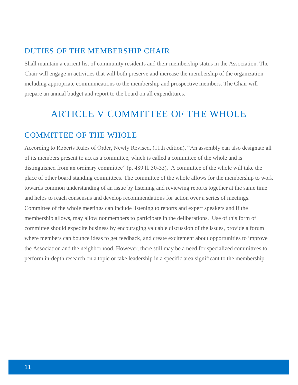### DUTIES OF THE MEMBERSHIP CHAIR

Shall maintain a current list of community residents and their membership status in the Association. The Chair will engage in activities that will both preserve and increase the membership of the organization including appropriate communications to the membership and prospective members. The Chair will prepare an annual budget and report to the board on all expenditures.

# ARTICLE V COMMITTEE OF THE WHOLE

### COMMITTEE OF THE WHOLE

According to Roberts Rules of Order, Newly Revised, (11th edition), "An assembly can also designate all of its members present to act as a committee, which is called a committee of the whole and is distinguished from an ordinary committee" (p. 489 ll. 30-33). A committee of the whole will take the place of other board standing committees. The committee of the whole allows for the membership to work towards common understanding of an issue by listening and reviewing reports together at the same time and helps to reach consensus and develop recommendations for action over a series of meetings. Committee of the whole meetings can include listening to reports and expert speakers and if the membership allows, may allow nonmembers to participate in the deliberations. Use of this form of committee should expedite business by encouraging valuable discussion of the issues, provide a forum where members can bounce ideas to get feedback, and create excitement about opportunities to improve the Association and the neighborhood. However, there still may be a need for specialized committees to perform in-depth research on a topic or take leadership in a specific area significant to the membership.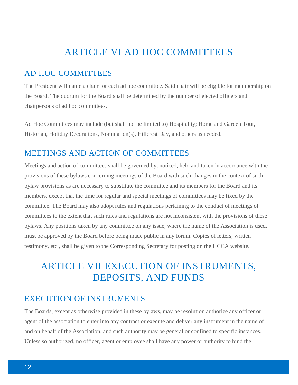# ARTICLE VI AD HOC COMMITTEES

### AD HOC COMMITTEES

The President will name a chair for each ad hoc committee. Said chair will be eligible for membership on the Board. The quorum for the Board shall be determined by the number of elected officers and chairpersons of ad hoc committees.

Ad Hoc Committees may include (but shall not be limited to) Hospitality; Home and Garden Tour, Historian, Holiday Decorations, Nomination(s), Hillcrest Day, and others as needed.

### MEETINGS AND ACTION OF COMMITTEES

Meetings and action of committees shall be governed by, noticed, held and taken in accordance with the provisions of these bylaws concerning meetings of the Board with such changes in the context of such bylaw provisions as are necessary to substitute the committee and its members for the Board and its members, except that the time for regular and special meetings of committees may be fixed by the committee. The Board may also adopt rules and regulations pertaining to the conduct of meetings of committees to the extent that such rules and regulations are not inconsistent with the provisions of these bylaws. Any positions taken by any committee on any issue, where the name of the Association is used, must be approved by the Board before being made public in any forum. Copies of letters, written testimony, etc., shall be given to the Corresponding Secretary for posting on the HCCA website.

# ARTICLE VII EXECUTION OF INSTRUMENTS, DEPOSITS, AND FUNDS

### EXECUTION OF INSTRUMENTS

The Boards, except as otherwise provided in these bylaws, may be resolution authorize any officer or agent of the association to enter into any contract or execute and deliver any instrument in the name of and on behalf of the Association, and such authority may be general or confined to specific instances. Unless so authorized, no officer, agent or employee shall have any power or authority to bind the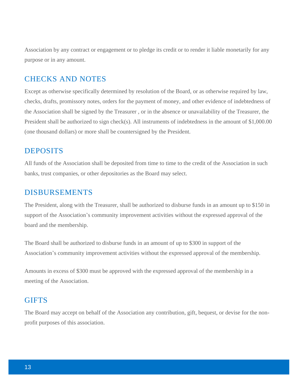Association by any contract or engagement or to pledge its credit or to render it liable monetarily for any purpose or in any amount.

### CHECKS AND NOTES

Except as otherwise specifically determined by resolution of the Board, or as otherwise required by law, checks, drafts, promissory notes, orders for the payment of money, and other evidence of indebtedness of the Association shall be signed by the Treasurer , or in the absence or unavailability of the Treasurer, the President shall be authorized to sign check(s). All instruments of indebtedness in the amount of \$1,000.00 (one thousand dollars) or more shall be countersigned by the President.

#### DEPOSITS

All funds of the Association shall be deposited from time to time to the credit of the Association in such banks, trust companies, or other depositories as the Board may select.

#### DISBURSEMENTS

The President, along with the Treasurer, shall be authorized to disburse funds in an amount up to \$150 in support of the Association's community improvement activities without the expressed approval of the board and the membership.

The Board shall be authorized to disburse funds in an amount of up to \$300 in support of the Association's community improvement activities without the expressed approval of the membership.

Amounts in excess of \$300 must be approved with the expressed approval of the membership in a meeting of the Association.

#### **GIFTS**

The Board may accept on behalf of the Association any contribution, gift, bequest, or devise for the nonprofit purposes of this association.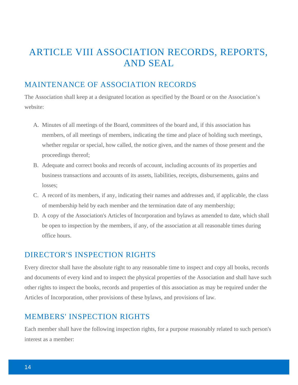# ARTICLE VIII ASSOCIATION RECORDS, REPORTS, AND SEAL

### MAINTENANCE OF ASSOCIATION RECORDS

The Association shall keep at a designated location as specified by the Board or on the Association's website:

- A. Minutes of all meetings of the Board, committees of the board and, if this association has members, of all meetings of members, indicating the time and place of holding such meetings, whether regular or special, how called, the notice given, and the names of those present and the proceedings thereof;
- B. Adequate and correct books and records of account, including accounts of its properties and business transactions and accounts of its assets, liabilities, receipts, disbursements, gains and losses;
- C. A record of its members, if any, indicating their names and addresses and, if applicable, the class of membership held by each member and the termination date of any membership;
- D. A copy of the Association's Articles of Incorporation and bylaws as amended to date, which shall be open to inspection by the members, if any, of the association at all reasonable times during office hours.

## DIRECTOR'S INSPECTION RIGHTS

Every director shall have the absolute right to any reasonable time to inspect and copy all books, records and documents of every kind and to inspect the physical properties of the Association and shall have such other rights to inspect the books, records and properties of this association as may be required under the Articles of Incorporation, other provisions of these bylaws, and provisions of law.

### MEMBERS' INSPECTION RIGHTS

Each member shall have the following inspection rights, for a purpose reasonably related to such person's interest as a member: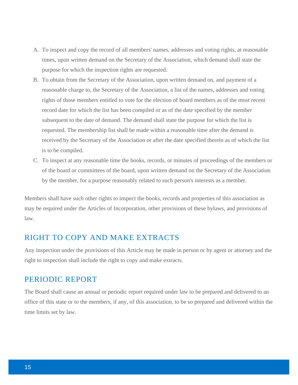- A. To inspect and copy the record of all members' names, addresses and voting rights, at reasonable times, upon written demand on the Secretary of the Association, which demand shall state the purpose for which the inspection rights are requested.
- B. To obtain from the Secretary of the Association, upon written demand on, and payment of a reasonable charge to, the Secretary of the Association, a list of the names, addresses and voting rights of those members entitled to vote for the election of board members as of the most recent record date for which the list has been compiled or as of the date specified by the member subsequent to the date of demand. The demand shall state the purpose for which the list is requested. The membership list shall be made within a reasonable time after the demand is received by the Secretary of the Association or after the date specified therein as of which the list is to be compiled.
- C. To inspect at any reasonable time the books, records, or minutes of proceedings of the members or of the board or committees of the board, upon written demand on the Secretary of the Association by the member, for a purpose reasonably related to such person's interests as a member.

Members shall have such other rights to inspect the books, records and properties of this association as may be required under the Articles of Incorporation, other provisions of these bylaws, and provisions of law.

#### RIGHT TO COPY AND MAKE EXTRACTS

Any inspection under the provisions of this Article may be made in person or by agent or attorney and the right to inspection shall include the right to copy and make extracts.

#### PERIODIC REPORT

The Board shall cause an annual or periodic report required under law to be prepared and delivered to an office of this state or to the members, if any, of this association, to be so prepared and delivered within the time limits set by law.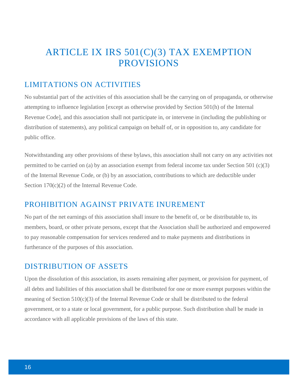# ARTICLE IX IRS 501(C)(3) TAX EXEMPTION PROVISIONS

# LIMITATIONS ON ACTIVITIES

No substantial part of the activities of this association shall be the carrying on of propaganda, or otherwise attempting to influence legislation [except as otherwise provided by Section 501(h) of the Internal Revenue Code], and this association shall not participate in, or intervene in (including the publishing or distribution of statements), any political campaign on behalf of, or in opposition to, any candidate for public office.

Notwithstanding any other provisions of these bylaws, this association shall not carry on any activities not permitted to be carried on (a) by an association exempt from federal income tax under Section 501 (c)(3) of the Internal Revenue Code, or (b) by an association, contributions to which are deductible under Section 170(c)(2) of the Internal Revenue Code.

### PROHIBITION AGAINST PRIVATE INUREMENT

No part of the net earnings of this association shall insure to the benefit of, or be distributable to, its members, board, or other private persons, except that the Association shall be authorized and empowered to pay reasonable compensation for services rendered and to make payments and distributions in furtherance of the purposes of this association.

### DISTRIBUTION OF ASSETS

Upon the dissolution of this association, its assets remaining after payment, or provision for payment, of all debts and liabilities of this association shall be distributed for one or more exempt purposes within the meaning of Section  $510(c)(3)$  of the Internal Revenue Code or shall be distributed to the federal government, or to a state or local government, for a public purpose. Such distribution shall be made in accordance with all applicable provisions of the laws of this state.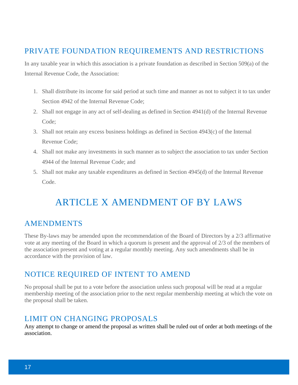# PRIVATE FOUNDATION REQUIREMENTS AND RESTRICTIONS

In any taxable year in which this association is a private foundation as described in Section 509(a) of the Internal Revenue Code, the Association:

- 1. Shall distribute its income for said period at such time and manner as not to subject it to tax under Section 4942 of the Internal Revenue Code;
- 2. Shall not engage in any act of self-dealing as defined in Section 4941(d) of the Internal Revenue Code;
- 3. Shall not retain any excess business holdings as defined in Section 4943(c) of the Internal Revenue Code;
- 4. Shall not make any investments in such manner as to subject the association to tax under Section 4944 of the Internal Revenue Code; and
- 5. Shall not make any taxable expenditures as defined in Section 4945(d) of the Internal Revenue Code.

# ARTICLE X AMENDMENT OF BY LAWS

## AMENDMENTS

These By-laws may be amended upon the recommendation of the Board of Directors by a 2/3 affirmative vote at any meeting of the Board in which a quorum is present and the approval of 2/3 of the members of the association present and voting at a regular monthly meeting. Any such amendments shall be in accordance with the provision of law.

## NOTICE REQUIRED OF INTENT TO AMEND

No proposal shall be put to a vote before the association unless such proposal will be read at a regular membership meeting of the association prior to the next regular membership meeting at which the vote on the proposal shall be taken.

## LIMIT ON CHANGING PROPOSALS

Any attempt to change or amend the proposal as written shall be ruled out of order at both meetings of the association.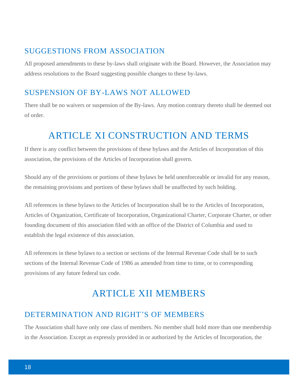### SUGGESTIONS FROM ASSOCIATION

All proposed amendments to these by-laws shall originate with the Board. However, the Association may address resolutions to the Board suggesting possible changes to these by-laws.

## SUSPENSION OF BY-LAWS NOT ALLOWED

There shall be no waivers or suspension of the By-laws. Any motion contrary thereto shall be deemed out of order.

# ARTICLE XI CONSTRUCTION AND TERMS

If there is any conflict between the provisions of these bylaws and the Articles of Incorporation of this association, the provisions of the Articles of Incorporation shall govern.

Should any of the provisions or portions of these bylaws be held unenforceable or invalid for any reason, the remaining provisions and portions of these bylaws shall be unaffected by such holding.

All references in these bylaws to the Articles of Incorporation shall be to the Articles of Incorporation, Articles of Organization, Certificate of Incorporation, Organizational Charter, Corporate Charter, or other founding document of this association filed with an office of the District of Columbia and used to establish the legal existence of this association.

All references in these bylaws to a section or sections of the Internal Revenue Code shall be to such sections of the Internal Revenue Code of 1986 as amended from time to time, or to corresponding provisions of any future federal tax code.

# ARTICLE XII MEMBERS

# DETERMINATION AND RIGHT'S OF MEMBERS

The Association shall have only one class of members. No member shall hold more than one membership in the Association. Except as expressly provided in or authorized by the Articles of Incorporation, the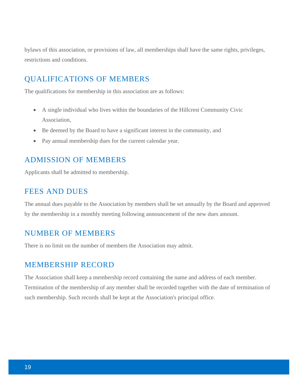bylaws of this association, or provisions of law, all memberships shall have the same rights, privileges, restrictions and conditions.

## QUALIFICATIONS OF MEMBERS

The qualifications for membership in this association are as follows:

- A single individual who lives within the boundaries of the Hillcrest Community Civic Association,
- Be deemed by the Board to have a significant interest in the community, and
- Pay annual membership dues for the current calendar year.

### ADMISSION OF MEMBERS

Applicants shall be admitted to membership.

#### FEES AND DUES

The annual dues payable to the Association by members shall be set annually by the Board and approved by the membership in a monthly meeting following announcement of the new dues amount.

### NUMBER OF MEMBERS

There is no limit on the number of members the Association may admit.

#### MEMBERSHIP RECORD

The Association shall keep a membership record containing the name and address of each member. Termination of the membership of any member shall be recorded together with the date of termination of such membership. Such records shall be kept at the Association's principal office.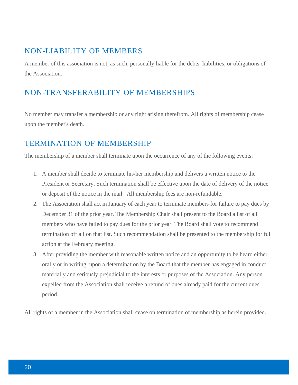## NON-LIABILITY OF MEMBERS

A member of this association is not, as such, personally liable for the debts, liabilities, or obligations of the Association.

# NON-TRANSFERABILITY OF MEMBERSHIPS

No member may transfer a membership or any right arising therefrom. All rights of membership cease upon the member's death.

# TERMINATION OF MEMBERSHIP

The membership of a member shall terminate upon the occurrence of any of the following events:

- 1. A member shall decide to terminate his/her membership and delivers a written notice to the President or Secretary. Such termination shall be effective upon the date of delivery of the notice or deposit of the notice in the mail. All membership fees are non-refundable.
- 2. The Association shall act in January of each year to terminate members for failure to pay dues by December 31 of the prior year. The Membership Chair shall present to the Board a list of all members who have failed to pay dues for the prior year. The Board shall vote to recommend termination off all on that list. Such recommendation shall be presented to the membership for full action at the February meeting.
- 3. After providing the member with reasonable written notice and an opportunity to be heard either orally or in writing, upon a determination by the Board that the member has engaged in conduct materially and seriously prejudicial to the interests or purposes of the Association. Any person expelled from the Association shall receive a refund of dues already paid for the current dues period.

All rights of a member in the Association shall cease on termination of membership as herein provided.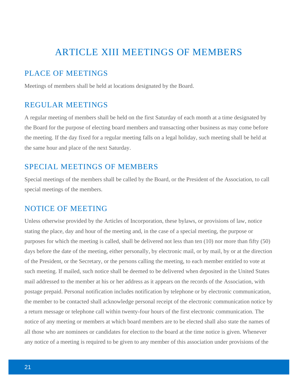# ARTICLE XIII MEETINGS OF MEMBERS

### PLACE OF MEETINGS

Meetings of members shall be held at locations designated by the Board.

### REGULAR MEETINGS

A regular meeting of members shall be held on the first Saturday of each month at a time designated by the Board for the purpose of electing board members and transacting other business as may come before the meeting. If the day fixed for a regular meeting falls on a legal holiday, such meeting shall be held at the same hour and place of the next Saturday.

### SPECIAL MEETINGS OF MEMBERS

Special meetings of the members shall be called by the Board, or the President of the Association, to call special meetings of the members.

#### NOTICE OF MEETING

Unless otherwise provided by the Articles of Incorporation, these bylaws, or provisions of law, notice stating the place, day and hour of the meeting and, in the case of a special meeting, the purpose or purposes for which the meeting is called, shall be delivered not less than ten (10) nor more than fifty (50) days before the date of the meeting, either personally, by electronic mail, or by mail, by or at the direction of the President, or the Secretary, or the persons calling the meeting, to each member entitled to vote at such meeting. If mailed, such notice shall be deemed to be delivered when deposited in the United States mail addressed to the member at his or her address as it appears on the records of the Association, with postage prepaid. Personal notification includes notification by telephone or by electronic communication, the member to be contacted shall acknowledge personal receipt of the electronic communication notice by a return message or telephone call within twenty-four hours of the first electronic communication. The notice of any meeting or members at which board members are to be elected shall also state the names of all those who are nominees or candidates for election to the board at the time notice is given. Whenever any notice of a meeting is required to be given to any member of this association under provisions of the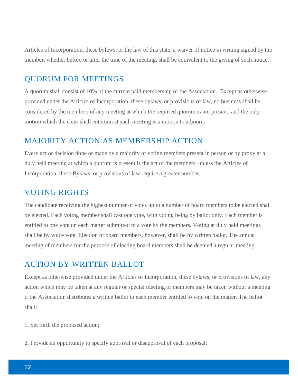Articles of Incorporation, these bylaws, or the law of this state, a waiver of notice in writing signed by the member, whether before or after the time of the meeting, shall be equivalent to the giving of such notice.

### QUORUM FOR MEETINGS

A quorum shall consist of 10% of the current paid membership of the Association. Except as otherwise provided under the Articles of Incorporation, these bylaws, or provisions of law, no business shall be considered by the members of any meeting at which the required quorum is not present, and the only motion which the chair shall entertain at such meeting is a motion to adjourn.

### MAJORITY ACTION AS MEMBERSHIP ACTION

Every act or decision done or made by a majority of voting members present in person or by proxy at a duly held meeting at which a quorum is present is the act of the members, unless the Articles of Incorporation, these Bylaws, or provisions of law require a greater number.

#### VOTING RIGHTS

The candidate receiving the highest number of votes up to a number of board members to be elected shall be elected. Each voting member shall cast one vote, with voting being by ballot only. Each member is entitled to one vote on each matter submitted to a vote by the members. Voting at duly held meetings shall be by voice vote. Election of board members, however, shall be by written ballot. The annual meeting of members for the purpose of electing board members shall be deemed a regular meeting.

### ACTION BY WRITTEN BALLOT

Except as otherwise provided under the Articles of Incorporation, these bylaws, or provisions of law, any action which may be taken at any regular or special meeting of members may be taken without a meeting if the Association distributes a written ballot to each member entitled to vote on the matter. The ballot shall:

- 1. Set forth the proposed action;
- 2. Provide an opportunity to specify approval or disapproval of each proposal;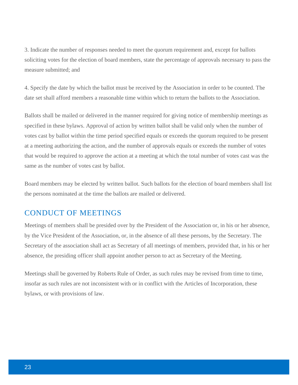3. Indicate the number of responses needed to meet the quorum requirement and, except for ballots soliciting votes for the election of board members, state the percentage of approvals necessary to pass the measure submitted; and

4. Specify the date by which the ballot must be received by the Association in order to be counted. The date set shall afford members a reasonable time within which to return the ballots to the Association.

Ballots shall be mailed or delivered in the manner required for giving notice of membership meetings as specified in these bylaws. Approval of action by written ballot shall be valid only when the number of votes cast by ballot within the time period specified equals or exceeds the quorum required to be present at a meeting authorizing the action, and the number of approvals equals or exceeds the number of votes that would be required to approve the action at a meeting at which the total number of votes cast was the same as the number of votes cast by ballot.

Board members may be elected by written ballot. Such ballots for the election of board members shall list the persons nominated at the time the ballots are mailed or delivered.

### CONDUCT OF MEETINGS

Meetings of members shall be presided over by the President of the Association or, in his or her absence, by the Vice President of the Association, or, in the absence of all these persons, by the Secretary. The Secretary of the association shall act as Secretary of all meetings of members, provided that, in his or her absence, the presiding officer shall appoint another person to act as Secretary of the Meeting.

Meetings shall be governed by Roberts Rule of Order, as such rules may be revised from time to time, insofar as such rules are not inconsistent with or in conflict with the Articles of Incorporation, these bylaws, or with provisions of law.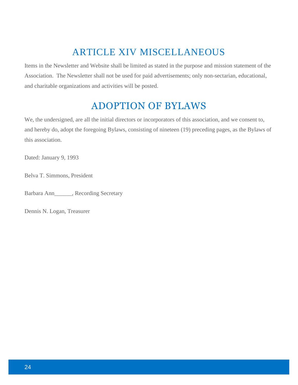# ARTICLE XIV MISCELLANEOUS

Items in the Newsletter and Website shall be limited as stated in the purpose and mission statement of the Association. The Newsletter shall not be used for paid advertisements; only non-sectarian, educational, and charitable organizations and activities will be posted.

# ADOPTION OF BYLAWS

We, the undersigned, are all the initial directors or incorporators of this association, and we consent to, and hereby do, adopt the foregoing Bylaws, consisting of nineteen (19) preceding pages, as the Bylaws of this association.

Dated: January 9, 1993

Belva T. Simmons, President

Barbara Ann\_\_\_\_\_\_, Recording Secretary

Dennis N. Logan, Treasurer